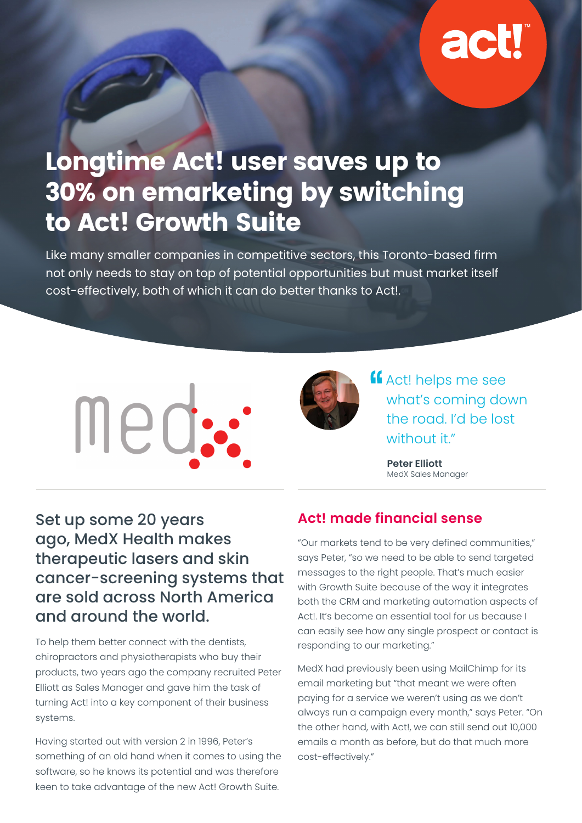# **act**

## Longtime Act! user saves up to 30% on emarketing by switching to Act! Growth Suite

Like many smaller companies in competitive sectors, this Toronto-based firm not only needs to stay on top of potential opportunities but must market itself cost-effectively, both of which it can do better thanks to Act!.





**K** Act! helps me see what's coming down the road. I'd be lost without it"

> **Peter Elliott** MedX Sales Manager

Set up some 20 years ago, MedX Health makes therapeutic lasers and skin cancer-screening systems that are sold across North America and around the world.

To help them better connect with the dentists, chiropractors and physiotherapists who buy their products, two years ago the company recruited Peter Elliott as Sales Manager and gave him the task of turning Act! into a key component of their business systems.

Having started out with version 2 in 1996, Peter's something of an old hand when it comes to using the software, so he knows its potential and was therefore keen to take advantage of the new Act! Growth Suite.

#### **Act! made financial sense**

"Our markets tend to be very defined communities," says Peter, "so we need to be able to send targeted messages to the right people. That's much easier with Growth Suite because of the way it integrates both the CRM and marketing automation aspects of Act!. It's become an essential tool for us because I can easily see how any single prospect or contact is responding to our marketing."

MedX had previously been using MailChimp for its email marketing but "that meant we were often paying for a service we weren't using as we don't always run a campaign every month," says Peter. "On the other hand, with Act!, we can still send out 10,000 emails a month as before, but do that much more cost-effectively."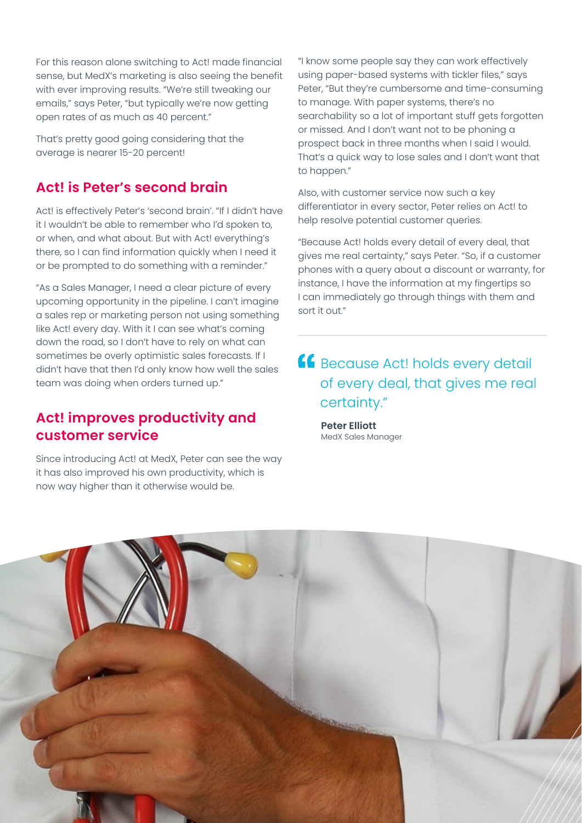For this reason alone switching to Act! made financial sense, but MedX's marketing is also seeing the benefit with ever improving results. "We're still tweaking our emails," says Peter, "but typically we're now getting open rates of as much as 40 percent."

That's pretty good going considering that the average is nearer 15-20 percent!

#### **Act! is Peter's second brain**

Act! is effectively Peter's 'second brain'. "If I didn't have it I wouldn't be able to remember who I'd spoken to, or when, and what about. But with Act! everything's there, so I can find information quickly when I need it or be prompted to do something with a reminder."

"As a Sales Manager, I need a clear picture of every upcoming opportunity in the pipeline. I can't imagine a sales rep or marketing person not using something like Act! every day. With it I can see what's coming down the road, so I don't have to rely on what can sometimes be overly optimistic sales forecasts. If I didn't have that then I'd only know how well the sales team was doing when orders turned up."

#### **Act! improves productivity and customer service**

Since introducing Act! at MedX, Peter can see the way it has also improved his own productivity, which is now way higher than it otherwise would be.

"I know some people say they can work effectively using paper-based systems with tickler files," says Peter, "But they're cumbersome and time-consuming to manage. With paper systems, there's no searchability so a lot of important stuff gets forgotten or missed. And I don't want not to be phoning a prospect back in three months when I said I would. That's a quick way to lose sales and I don't want that to happen."

Also, with customer service now such a key differentiator in every sector, Peter relies on Act! to help resolve potential customer queries.

"Because Act! holds every detail of every deal, that gives me real certainty," says Peter. "So, if a customer phones with a query about a discount or warranty, for instance, I have the information at my fingertips so I can immediately go through things with them and sort it out."

#### **ff** Because Act! holds every detail of every deal, that gives me real certainty."

**Peter Elliott** MedX Sales Manager